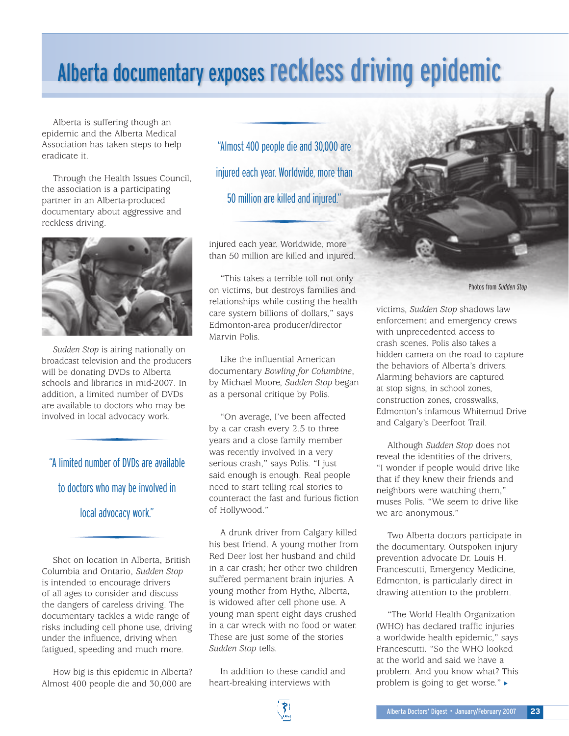## Alberta documentary exposes reckless driving epidemic

Alberta is suffering though an epidemic and the Alberta Medical Association has taken steps to help eradicate it.

Through the Health Issues Council, the association is a participating partner in an Alberta-produced documentary about aggressive and reckless driving.



*Sudden Stop* is airing nationally on broadcast television and the producers will be donating DVDs to Alberta schools and libraries in mid-2007. In addition, a limited number of DVDs are available to doctors who may be involved in local advocacy work.

"A limited number of DVDs are available

to doctors who may be involved in

local advocacy work."

Shot on location in Alberta, British Columbia and Ontario, *Sudden Stop* is intended to encourage drivers of all ages to consider and discuss the dangers of careless driving. The documentary tackles a wide range of risks including cell phone use, driving under the influence, driving when fatigued, speeding and much more.

How big is this epidemic in Alberta? Almost 400 people die and 30,000 are

"Almost 400 people die and 30,000 are injured each year. Worldwide, more than 50 million are killed and injured."

injured each year. Worldwide, more than 50 million are killed and injured.

"This takes a terrible toll not only on victims, but destroys families and relationships while costing the health care system billions of dollars," says Edmonton-area producer/director Marvin Polis.

Like the influential American documentary *Bowling for Columbine*, by Michael Moore, *Sudden Stop* began as a personal critique by Polis.

"On average, I've been affected by a car crash every 2.5 to three years and a close family member was recently involved in a very serious crash," says Polis. "I just said enough is enough. Real people need to start telling real stories to counteract the fast and furious fiction of Hollywood."

A drunk driver from Calgary killed his best friend. A young mother from Red Deer lost her husband and child in a car crash; her other two children suffered permanent brain injuries. A young mother from Hythe, Alberta, is widowed after cell phone use. A young man spent eight days crushed in a car wreck with no food or water. These are just some of the stories *Sudden Stop* tells.

In addition to these candid and heart-breaking interviews with



Photos from Sudden Stop

victims, *Sudden Stop* shadows law enforcement and emergency crews with unprecedented access to crash scenes. Polis also takes a hidden camera on the road to capture the behaviors of Alberta's drivers. Alarming behaviors are captured at stop signs, in school zones, construction zones, crosswalks, Edmonton's infamous Whitemud Drive and Calgary's Deerfoot Trail.

Although *Sudden Stop* does not reveal the identities of the drivers, "I wonder if people would drive like that if they knew their friends and neighbors were watching them," muses Polis. "We seem to drive like we are anonymous."

Two Alberta doctors participate in the documentary. Outspoken injury prevention advocate Dr. Louis H. Francescutti, Emergency Medicine, Edmonton, is particularly direct in drawing attention to the problem.

"The World Health Organization (WHO) has declared traffic injuries a worldwide health epidemic," says Francescutti. "So the WHO looked at the world and said we have a problem. And you know what? This problem is going to get worse." ►